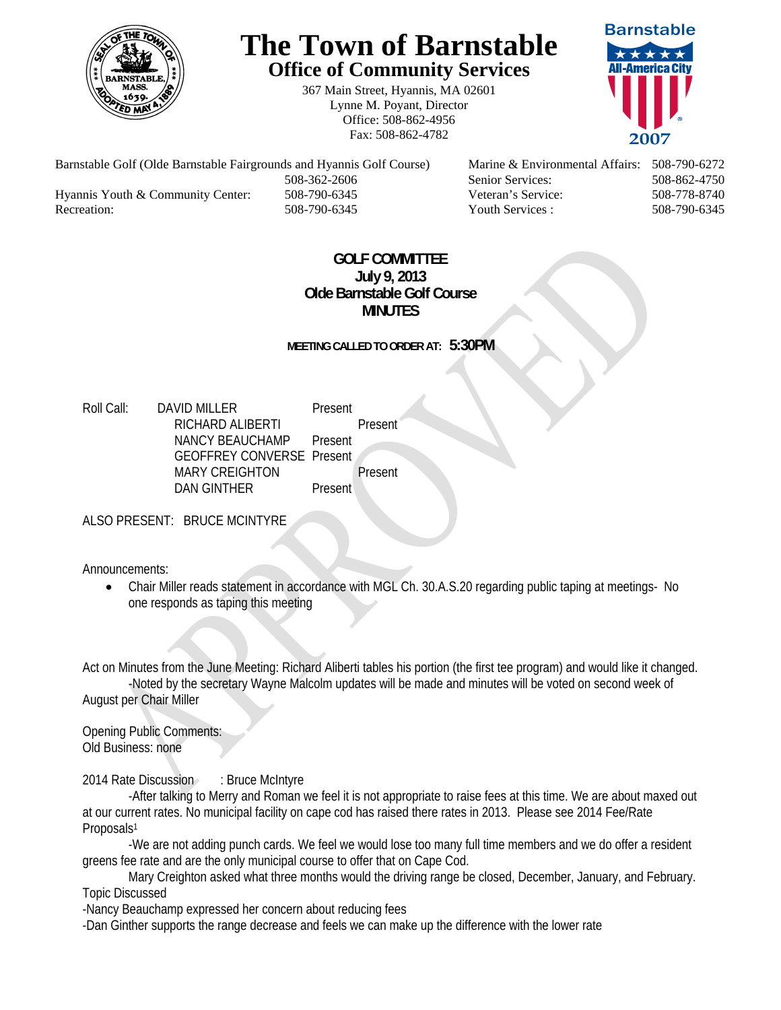

## **The Town of Barnstable Office of Community Services**

367 Main Street, Hyannis, MA 02601 Lynne M. Poyant, Director Office: 508-862-4956 Fax: 508-862-4782



Barnstable Golf (Olde Barnstable Fairgrounds and Hyannis Golf Course) Marine & Environmental Affairs: 508-790-6272 508-362-2606 Senior Services: 508-862-4750 Hyannis Youth & Community Center: 508-790-6345 Veteran's Service: 508-778-8740 Recreation: 508-790-6345 Youth Services : 508-790-6345 S08-790-6345

## **GOLF COMMITTEE July 9, 2013 Olde Barnstable Golf Course MINUTES**

**MEETING CALLED TO ORDER AT: 5:30PM** 

Roll Call: DAVID MILLER Present RICHARD ALIBERTI Present NANCY BEAUCHAMP Present GEOFFREY CONVERSE Present MARY CREIGHTON Present DAN GINTHER Present

ALSO PRESENT: BRUCE MCINTYRE

Announcements:

 Chair Miller reads statement in accordance with MGL Ch. 30.A.S.20 regarding public taping at meetings- No one responds as taping this meeting

Act on Minutes from the June Meeting: Richard Aliberti tables his portion (the first tee program) and would like it changed. -Noted by the secretary Wayne Malcolm updates will be made and minutes will be voted on second week of August per Chair Miller

Opening Public Comments: Old Business: none

2014 Rate Discussion : Bruce McIntyre

 -After talking to Merry and Roman we feel it is not appropriate to raise fees at this time. We are about maxed out at our current rates. No municipal facility on cape cod has raised there rates in 2013. Please see 2014 Fee/Rate Proposals<sup>1</sup>

 -We are not adding punch cards. We feel we would lose too many full time members and we do offer a resident greens fee rate and are the only municipal course to offer that on Cape Cod.

 Mary Creighton asked what three months would the driving range be closed, December, January, and February. Topic Discussed

-Nancy Beauchamp expressed her concern about reducing fees

-Dan Ginther supports the range decrease and feels we can make up the difference with the lower rate